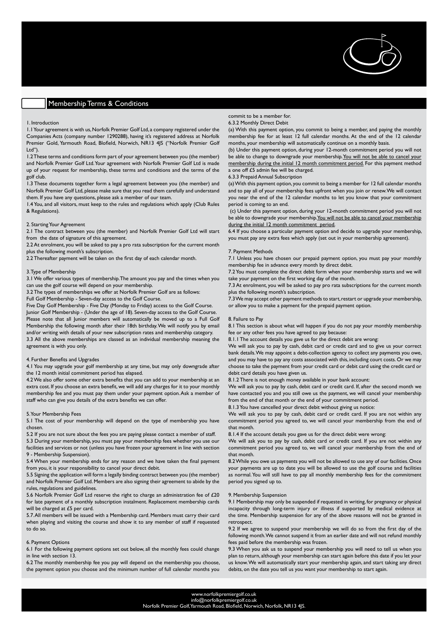# Membership Terms & Conditions

## 1. Introduction

1.1 Your agreement is with us, Norfolk Premier Golf Ltd, a company registered under the Companies Acts (company number 1290288), having it's registered address at Norfolk Premier Gold, Yarmouth Road, Blofield, Norwich, NR13 4JS ("Norfolk Premier Golf Ltd").

1.2 These terms and conditions form part of your agreement between you (the member) and Norfolk Premier Golf Ltd. Your agreement with Norfolk Premier Golf Ltd is made up of your request for membership, these terms and conditions and the terms of the golf club.

1.3 These documents together form a legal agreement between you (the member) and Norfolk Premier Golf Ltd, please make sure that you read them carefully and understand them. If you have any questions, please ask a member of our team.

1.4 You, and all visitors, must keep to the rules and regulations which apply (Club Rules & Regulations).

#### 2. Starting Your Agreement

2.1 The contract between you (the member) and Norfolk Premier Golf Ltd will start from the date of signature of this agreement.

2.2 At enrolment, you will be asked to pay a pro rata subscription for the current month plus the following month's subscription.

2.2 Thereafter payment will be taken on the first day of each calendar month.

## 3. Type of Membership

3.1 We offer various types of membership. The amount you pay and the times when you can use the golf course will depend on your membership.

3.2 The types of memberships we offer at Norfolk Premier Golf are as follows:

Full Golf Membership - Seven-day access to the Golf Course.

Five Day Golf Membership - Five Day (Monday to Friday) access to the Golf Course. Junior Golf Membership - (Under the age of 18). Seven-day access to the Golf Course. Please note that all Junior members will automatically be moved up to a Full Golf Membership the following month after their 18th birthday. We will notify you by email and/or writing with details of your new subscription rates and membership category.

3.3 All the above memberships are classed as an individual membership meaning the agreement is with you only.

# 4. Further Benefits and Upgrades

4.1 You may upgrade your golf membership at any time, but may only downgrade after the 12 month initial commitment period has elapsed.

4.2 We also offer some other extra benefits that you can add to your membership at an extra cost. If you choose an extra benefit, we will add any charges for it to your monthly membership fee and you must pay them under your payment option. Ask a member of staff who can give you details of the extra benefits we can offer.

#### 5. Your Membership Fees

5.1 The cost of your membership will depend on the type of membership you have chosen.

5.2 If you are not sure about the fees you are paying please contact a member of staff. 5.3 During your membership, you must pay your membership fees whether you use our

facilities and services or not (unless you have frozen your agreement in line with section 9 - Membership Suspension).

5.4 When your membership ends for any reason and we have taken the final payment from you, it is your responsibility to cancel your direct debit.

5.5 Signing the application will form a legally binding contract between you (the member) and Norfolk Premier Golf Ltd. Members are also signing their agreement to abide by the rules, regulations and guidelines.

5.6 Norfolk Premier Golf Ltd reserve the right to charge an administration fee of £20 for late payment of a monthly subscription instalment. Replacement membership cards will be charged at £5 per card.

5.7. All members will be issued with a Membership card. Members must carry their card when playing and visiting the course and show it to any member of staff if requested to do so.

# 6. Payment Options

6.1 For the following payment options set out below, all the monthly fees could change in line with section 13.

6.2 The monthly membership fee you pay will depend on the membership you choose, the payment option you choose and the minimum number of full calendar months you

# commit to be a member for.

6.3.2 Monthly Direct Debit

(a) With this payment option, you commit to being a member, and paying the monthly membership fee for at least 12 full calendar months. At the end of the 12 calendar months, your membership will automatically continue on a monthly basis.

(b) Under this payment option, during your 12-month commitment period you will not be able to change to downgrade your membership. You will not be able to cancel your membership during the initial 12 month commitment period. For this payment method a one off £5 admin fee will be charged.

#### 6.3.3 Prepaid Annual Subscription

(a) With this payment option, you commit to being a member for 12 full calendar months and to pay all of your membership fees upfront when you join or renew. We will contact you near the end of the 12 calendar months to let you know that your commitment period is coming to an end.

 (c) Under this payment option, during your 12-month commitment period you will not be able to downgrade your membership. You will not be able to cancel your membership during the initial 12 month commitment period.

6.4 If you choose a particular payment option and decide to upgrade your membership, you must pay any extra fees which apply (set out in your membership agreement).

# 7. Payment Methods

7.1 Unless you have chosen our prepaid payment option, you must pay your monthly membership fee in advance every month by direct debit.

7.2 You must complete the direct debit form when your membership starts and we will take your payment on the first working day of the month.

7.3 At enrolment, you will be asked to pay pro rata subscriptions for the current month plus the following month's subscription.

7.3 We may accept other payment methods to start, restart or upgrade your membership, or allow you to make a payment for the prepaid payment option.

## 8. Failure to Pay

8.1 This section is about what will happen if you do not pay your monthly membership fee or any other fees you have agreed to pay because:

8.1.1 The account details you gave us for the direct debit are wrong:

We will ask you to pay by cash, debit card or credit card and to give us your correct bank details. We may appoint a debt-collection agency to collect any payments you owe, and you may have to pay any costs associated with this, including court costs. Or we may choose to take the payment from your credit card or debit card using the credit card or debit card details you have given us.

## 8.1.2 There is not enough money available in your bank account:

We will ask you to pay by cash, debit card or credit card. If, after the second month we have contacted you and you still owe us the payment, we will cancel your membership from the end of that month or the end of your commitment period.

8.1.3 You have cancelled your direct debit without giving us notice:

We will ask you to pay by cash, debit card or credit card. If you are not within any commitment period you agreed to, we will cancel your membership from the end of that month.

8.1.4 If the account details you gave us for the direct debit were wrong:

We will ask you to pay by cash, debit card or credit card. If you are not within any commitment period you agreed to, we will cancel your membership from the end of that month.

8.2 While you owe us payments you will not be allowed to use any of our facilities. Once your payments are up to date you will be allowed to use the golf course and facilities as normal. You will still have to pay all monthly membership fees for the commitment period you signed up to.

#### 9. Membership Suspension

9.1 Membership may only be suspended if requested in writing, for pregnancy or physical incapacity through long-term injury or illness if supported by medical evidence at the time. Membership suspension for any of the above reasons will not be granted in retrospect.

9.2 If we agree to suspend your membership we will do so from the first day of the following month. We cannot suspend it from an earlier date and will not refund monthly fees paid before the membership was frozen.

9.3 When you ask us to suspend your membership you will need to tell us when you plan to return, although your membership can start again before this date if you let your us know. We will automatically start your membership again, and start taking any direct debits, on the date you tell us you want your membership to start again.